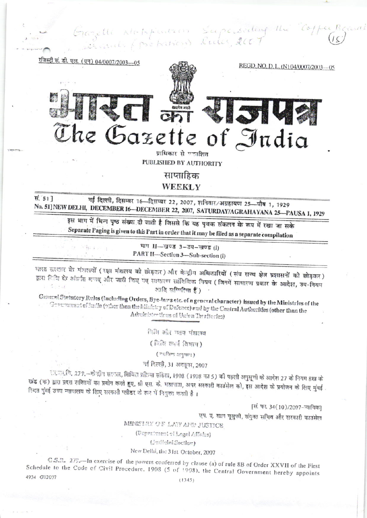Gazelli Alehfuntion Superseiling the



प्राधिकार से एकाशित PUBLISHED BY AUTHORITY

साप्ताहिक

**WEEKLY** 

स. 517 नई दिल्ली, दिसम्बर 16-दिसम्बर 22, 2007, शनिवार/अग्रहायण 25-पौष 1, 1929 No. 51] NEW DELHI, DECEMBER 16-DECEMBER 22, 2007, SATURDAY/AGRAHAYANA 25-PAUSA 1, 1929

इस भाग में भिन्न पृष्ठ संख्या दी जाती है जिससे कि यह पृथक संकलन के रूप में रखा जा सके Separate Paging is given to this Part in order that it may be filed as a separate compilation

> भाग II-खण्ड 3-उप-खण्ड (i) PART II-Section 3-Sub-section (i)

थारत सरकार के मंत्रालयों (रक्षा मंत्रालय को छोड़कर) और केन्द्रीय अधिकारियों (संघ राज्य क्षेत्र प्रशासनों को छोड़कर) द्वारा िी के अंतर्गत बनाए और जारी किए गए साधारण सांक्षिकित नियम (जिनमें साधारण प्रकार के आदेश, उप-नियम शांति सुष्पिलित हैं)

General Statutery Rules (including Orders, Bye-laws etc. of a general character) issued by the Ministries of the Government of India (other than the Ministry of Defence) and by the Central Authorities (other than the Administer tiens of Union Territories)

िति और न्याय पंत्रालय

(विधि कार्य विभाग)

 $($  "प्रविक्त अनुषाम्)

नई दिल्ली, 31 अब्तूबर, 2007

रत का कि 279.–केन्द्रीय सरकार, सिवित प्रक्रिया संहिता, 1908 (1908 का 5) की पहली अनुसूची के आदेश 27 के नियम 8ख के खंड (क) द्वारा प्रदत्त शक्तियों का प्रयोग करते हुए, श्री एस. के. महापात्रा, अपर सरकारी काउंसेल को, इस आदेश के प्रयोजन के लिए मुंबई स्थित पुंडई उच्च न्यायालय के लिए सरकारी प्लीडर के रूप में नियुक्त करती है।

[सं. फा. 34(10)/2007-न्यायिक]

एप. ए. खान यूसूफी, संयुक्त सचिव और सरकारी काउंसेल

MINISTRY OF LAY AND JUSTICE

(Department of Legal Affairs)

(Judicial Section)

# New Delhi, the 31st October, 2007

G.S.A. 272.-In exercise of the powers conferred by clause (a) of rule 8B of Order XXVII of the First Schedule to the Code of Civil Procedure, 1908 (5 of 1908), the Central Government hereby appoints 4934 GV2007